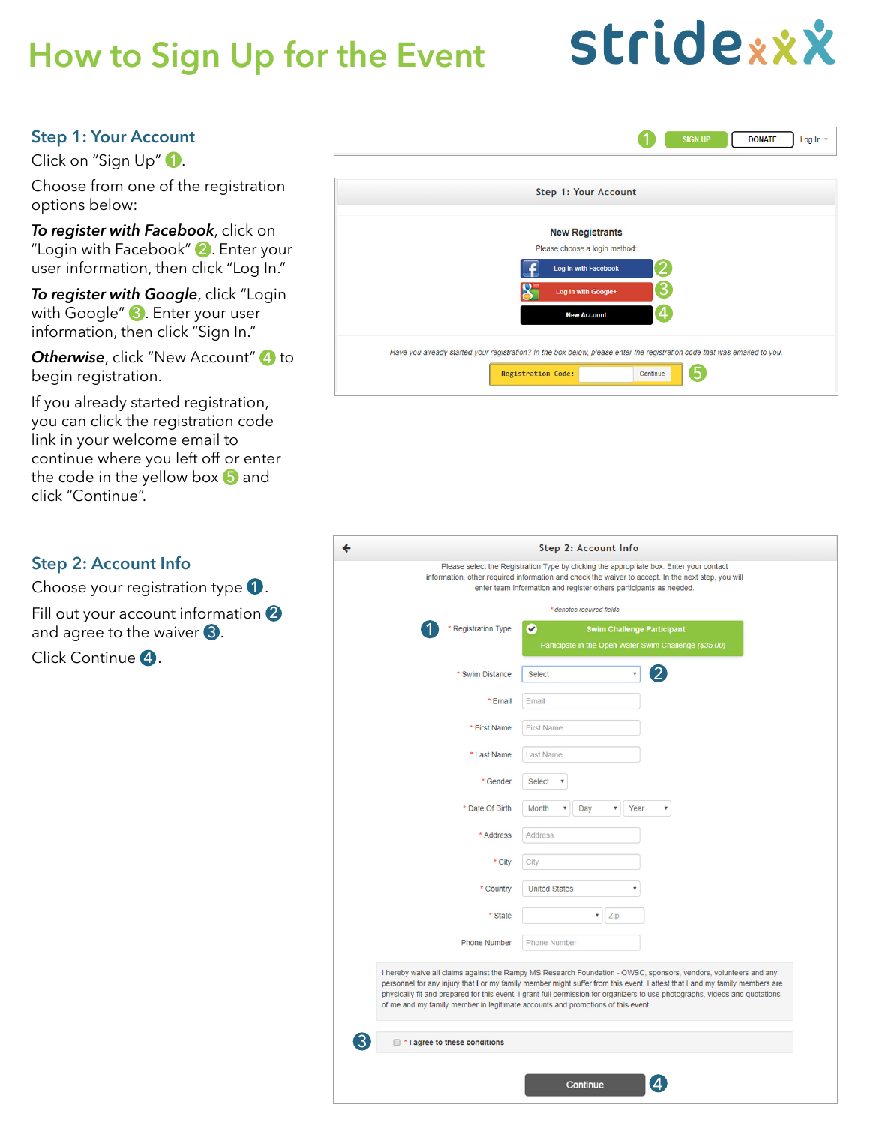# **How to Sign Up for the Event**

# **Stridexxx**

## **Step 1: Your Account**

Click on "Sign Up" 1.

Choose from one of the registration options below:

*To register with Facebook*, click on "Login with Facebook" 2. Enter your user information, then click "Log In."

*To register with Google*, click "Login with Google" 3. Enter your user information, then click "Sign In."

**Otherwise**, click "New Account" 4 to begin registration.

If you already started registration, you can click the registration code link in your welcome email to continue where you left off or enter the code in the yellow box  $\Box$  and click "Continue".

#### **Step 2: Account Info**

Choose your registration type  $\bigcirc$ .

Fill out your account information  $\bullet$ and agree to the waiver  $\mathbf{3}$ .

Click Continue 4.

| Step 1: Your Account          |  |
|-------------------------------|--|
| <b>New Registrants</b>        |  |
| Please choose a login method: |  |
| 2<br>Log In with Facebook     |  |
| З<br>Log In with Google+      |  |
| 4<br><b>New Account</b>       |  |
|                               |  |
|                               |  |

| Step 2: Account Info                                                                                                                                                                                                                                                |                                                                                                                                                                                                                                                                                                                                                                                 |  |  |  |  |  |  |  |  |  |
|---------------------------------------------------------------------------------------------------------------------------------------------------------------------------------------------------------------------------------------------------------------------|---------------------------------------------------------------------------------------------------------------------------------------------------------------------------------------------------------------------------------------------------------------------------------------------------------------------------------------------------------------------------------|--|--|--|--|--|--|--|--|--|
| Please select the Registration Type by clicking the appropriate box. Enter your contact<br>information, other required information and check the waiver to accept. In the next step, you will<br>enter team information and register others participants as needed. |                                                                                                                                                                                                                                                                                                                                                                                 |  |  |  |  |  |  |  |  |  |
| * denotes required fields                                                                                                                                                                                                                                           |                                                                                                                                                                                                                                                                                                                                                                                 |  |  |  |  |  |  |  |  |  |
| <b>Registration Type</b>                                                                                                                                                                                                                                            | Ø<br><b>Swim Challenge Participant</b><br>Participate in the Open Water Swim Challenge (\$35.00)                                                                                                                                                                                                                                                                                |  |  |  |  |  |  |  |  |  |
|                                                                                                                                                                                                                                                                     |                                                                                                                                                                                                                                                                                                                                                                                 |  |  |  |  |  |  |  |  |  |
| * Swim Distance                                                                                                                                                                                                                                                     | $\pmb{\mathrm{v}}$<br><b>Select</b>                                                                                                                                                                                                                                                                                                                                             |  |  |  |  |  |  |  |  |  |
| * Email                                                                                                                                                                                                                                                             | Email                                                                                                                                                                                                                                                                                                                                                                           |  |  |  |  |  |  |  |  |  |
| * First Name                                                                                                                                                                                                                                                        | <b>First Name</b>                                                                                                                                                                                                                                                                                                                                                               |  |  |  |  |  |  |  |  |  |
| * Last Name                                                                                                                                                                                                                                                         | <b>Last Name</b>                                                                                                                                                                                                                                                                                                                                                                |  |  |  |  |  |  |  |  |  |
| * Gender                                                                                                                                                                                                                                                            | <b>Select</b><br>۷                                                                                                                                                                                                                                                                                                                                                              |  |  |  |  |  |  |  |  |  |
| * Date Of Birth                                                                                                                                                                                                                                                     | Month<br>Year<br>$\overline{\mathbf v}$<br>Day<br>v                                                                                                                                                                                                                                                                                                                             |  |  |  |  |  |  |  |  |  |
| * Address                                                                                                                                                                                                                                                           | <b>Address</b>                                                                                                                                                                                                                                                                                                                                                                  |  |  |  |  |  |  |  |  |  |
| * City                                                                                                                                                                                                                                                              | City                                                                                                                                                                                                                                                                                                                                                                            |  |  |  |  |  |  |  |  |  |
| * Country                                                                                                                                                                                                                                                           | <b>United States</b><br>۷                                                                                                                                                                                                                                                                                                                                                       |  |  |  |  |  |  |  |  |  |
| * State                                                                                                                                                                                                                                                             | Zip<br>v                                                                                                                                                                                                                                                                                                                                                                        |  |  |  |  |  |  |  |  |  |
| <b>Phone Number</b>                                                                                                                                                                                                                                                 | <b>Phone Number</b>                                                                                                                                                                                                                                                                                                                                                             |  |  |  |  |  |  |  |  |  |
| of me and my family member in legitimate accounts and promotions of this event.<br><sup>*</sup> I agree to these conditions                                                                                                                                         | I hereby waive all claims against the Rampy MS Research Foundation - OWSC, sponsors, vendors, volunteers and any<br>personnel for any injury that I or my family member might suffer from this event. I attest that I and my family members are<br>physically fit and prepared for this event. I grant full permission for organizers to use photographs, videos and quotations |  |  |  |  |  |  |  |  |  |
|                                                                                                                                                                                                                                                                     |                                                                                                                                                                                                                                                                                                                                                                                 |  |  |  |  |  |  |  |  |  |
|                                                                                                                                                                                                                                                                     | Δ<br>Continue                                                                                                                                                                                                                                                                                                                                                                   |  |  |  |  |  |  |  |  |  |
|                                                                                                                                                                                                                                                                     |                                                                                                                                                                                                                                                                                                                                                                                 |  |  |  |  |  |  |  |  |  |